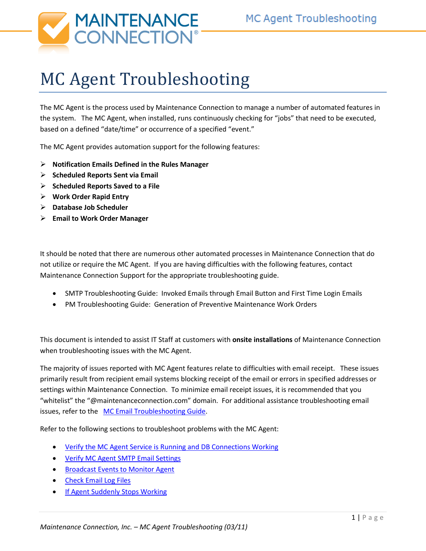

# MC Agent Troubleshooting

The MC Agent is the process used by Maintenance Connection to manage a number of automated features in the system. The MC Agent, when installed, runs continuously checking for "jobs" that need to be executed, based on a defined "date/time" or occurrence of a specified "event."

The MC Agent provides automation support for the following features:

- **Notification Emails Defined in the Rules Manager**
- **Scheduled Reports Sent via Email**
- **Scheduled Reports Saved to a File**
- **Work Order Rapid Entry**
- **Database Job Scheduler**
- **Email to Work Order Manager**

It should be noted that there are numerous other automated processes in Maintenance Connection that do not utilize or require the MC Agent. If you are having difficulties with the following features, contact Maintenance Connection Support for the appropriate troubleshooting guide.

- SMTP Troubleshooting Guide: Invoked Emails through Email Button and First Time Login Emails
- PM Troubleshooting Guide: Generation of Preventive Maintenance Work Orders

This document is intended to assist IT Staff at customers with **onsite installations** of Maintenance Connection when troubleshooting issues with the MC Agent.

The majority of issues reported with MC Agent features relate to difficulties with email receipt. These issues primarily result from recipient email systems blocking receipt of the email or errors in specified addresses or settings within Maintenance Connection. To minimize email receipt issues, it is recommended that you "whitelist" the "@maintenanceconnection.com" domain. For additional assistance troubleshooting email issues, refer to the [MC Email Troubleshooting Guide.](http://csp.maintenanceconnection.com/docs/SYS-EmailTroubleshooting.pdf)

Refer to the following sections to troubleshoot problems with the MC Agent:

- [Verify the MC Agent Service is Running and DB Connections Working](#page-2-0)
- [Verify MC Agent SMTP Email Settings](#page-3-0)
- **[Broadcast Events to Monitor Agent](#page-5-0)**
- [Check Email Log Files](#page-5-1)
- [If Agent Suddenly Stops Working](#page-7-0)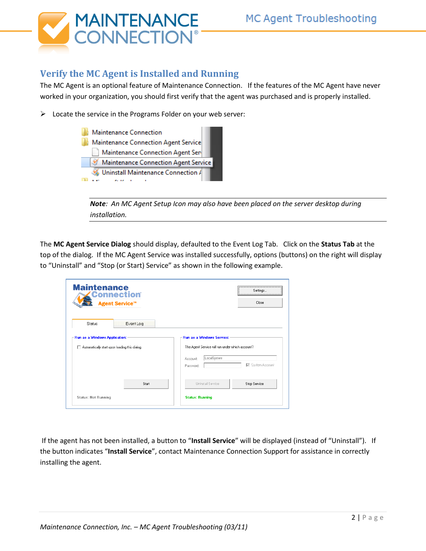

## **Verify the MC Agent is Installed and Running**

The MC Agent is an optional feature of Maintenance Connection. If the features of the MC Agent have never worked in your organization, you should first verify that the agent was purchased and is properly installed.

 $\triangleright$  Locate the service in the Programs Folder on your web server:



*Note: An MC Agent Setup Icon may also have been placed on the server desktop during installation.*

The **MC Agent Service Dialog** should display, defaulted to the Event Log Tab. Click on the **Status Tab** at the top of the dialog. If the MC Agent Service was installed successfully, options (buttons) on the right will display to "Uninstall" and "Stop (or Start) Service" as shown in the following example.

| <b>Maintenance</b>                            | <b>Connection</b><br><b>Agent Service™</b> | Settings<br>Close                                                         |  |
|-----------------------------------------------|--------------------------------------------|---------------------------------------------------------------------------|--|
| <b>Status</b>                                 | Event Log                                  |                                                                           |  |
| -Run as a Windows Application:                |                                            | <b>Run as a Windows Service:</b>                                          |  |
| Automatically start upon loading this dialog. |                                            | The Agent Service will run under which account?<br>LocalSystem<br>Account |  |
|                                               | Start                                      | <b>▽</b> System Account<br>Password:<br>Uninstall Service<br>Stop Service |  |
| <b>Status: Not Running</b>                    |                                            | <b>Status: Running</b>                                                    |  |

If the agent has not been installed, a button to "**Install Service**" will be displayed (instead of "Uninstall"). If the button indicates "**Install Service**", contact Maintenance Connection Support for assistance in correctly installing the agent.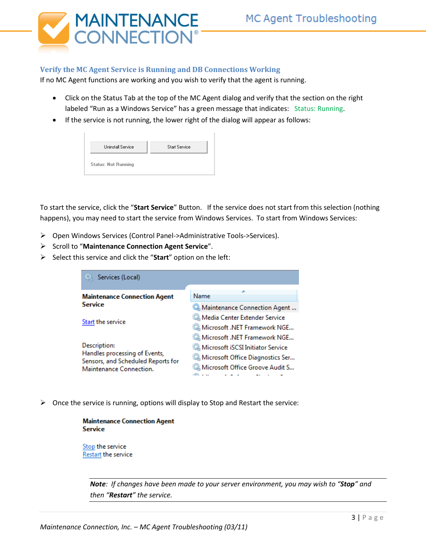

#### <span id="page-2-0"></span>**Verify the MC Agent Service is Running and DB Connections Working**

If no MC Agent functions are working and you wish to verify that the agent is running.

- Click on the Status Tab at the top of the MC Agent dialog and verify that the section on the right labeled "Run as a Windows Service" has a green message that indicates: Status: Running.
- If the service is not running, the lower right of the dialog will appear as follows:

| <b>Uninstall Service</b>   | <b>Start Service</b> |
|----------------------------|----------------------|
| <b>Status: Not Running</b> |                      |

To start the service, click the "**Start Service**" Button. If the service does not start from this selection (nothing happens), you may need to start the service from Windows Services. To start from Windows Services:

- Open Windows Services (Control Panel->Administrative Tools->Services).
- Scroll to "Maintenance Connection Agent Service".
- Select this service and click the "**Start**" option on the left:



 $\triangleright$  Once the service is running, options will display to Stop and Restart the service:

| <b>Maintenance Connection Agent</b> |
|-------------------------------------|
| <b>Service</b>                      |
|                                     |

Stop the service Restart the service

> *Note: If changes have been made to your server environment, you may wish to "Stop" and then "Restart" the service.*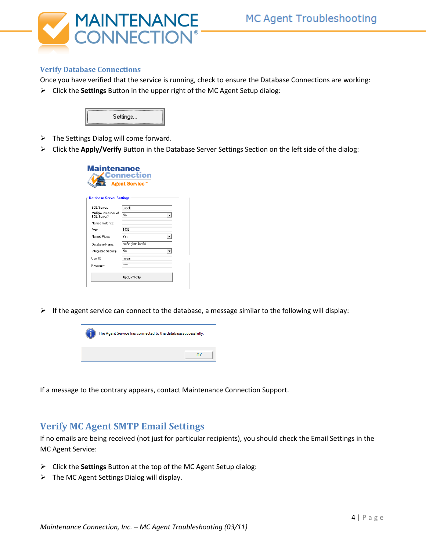

#### **Verify Database Connections**

Once you have verified that the service is running, check to ensure the Database Connections are working:

Click the **Settings** Button in the upper right of the MC Agent Setup dialog:



- $\triangleright$  The Settings Dialog will come forward.
- Click the **Apply/Verify** Button in the Database Server Settings Section on the left side of the dialog:

| <b>Agent Service™</b>                |                  |  |  |  |
|--------------------------------------|------------------|--|--|--|
| <b>Database Server Settings:</b>     |                  |  |  |  |
| SQL Server                           | [local]          |  |  |  |
| Multiple Instances of<br>SQL Server? | No               |  |  |  |
| Named Instance:                      |                  |  |  |  |
| Port                                 | 1433             |  |  |  |
| Named Pipes:                         | Yes              |  |  |  |
| Database Name:                       | mcRegistrationSA |  |  |  |
| Integrated Security:                 | No.              |  |  |  |
| Heer ID:                             | mczar            |  |  |  |
| Password                             | <b>XXXXX</b>     |  |  |  |

 $\triangleright$  If the agent service can connect to the database, a message similar to the following will display:



If a message to the contrary appears, contact Maintenance Connection Support.

### <span id="page-3-0"></span>**Verify MC Agent SMTP Email Settings**

If no emails are being received (not just for particular recipients), you should check the Email Settings in the MC Agent Service:

- Click the **Settings** Button at the top of the MC Agent Setup dialog:
- $\triangleright$  The MC Agent Settings Dialog will display.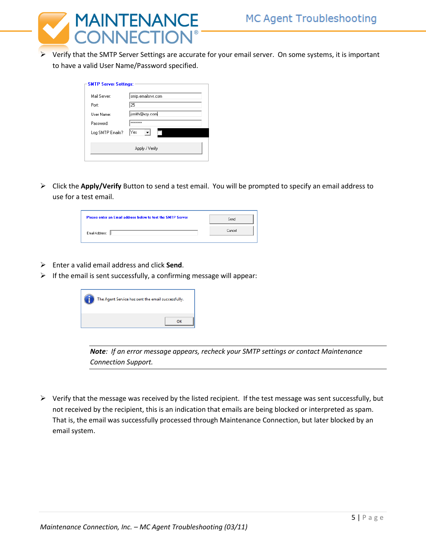

 Verify that the SMTP Server Settings are accurate for your email server. On some systems, it is important to have a valid User Name/Password specified.

| Mail Server:     | smtp.emailsrvr.com |
|------------------|--------------------|
| Port:            | 25                 |
| Liser Name:      | jsmith@xzy.com     |
| Password:        | <b>xxxxxxxxx</b>   |
| Log SMTP Emails? | Yes                |
|                  | Apply / Verify     |

 Click the **Apply/Verify** Button to send a test email. You will be prompted to specify an email address to use for a test email.

| Please enter an Email address below to test the SMTP Server | Send   |
|-------------------------------------------------------------|--------|
| Email Address:                                              | Cancel |

- Enter a valid email address and click **Send**.
- $\triangleright$  If the email is sent successfully, a confirming message will appear:



*Note: If an error message appears, recheck your SMTP settings or contact Maintenance Connection Support.* 

 $\triangleright$  Verify that the message was received by the listed recipient. If the test message was sent successfully, but not received by the recipient, this is an indication that emails are being blocked or interpreted as spam. That is, the email was successfully processed through Maintenance Connection, but later blocked by an email system.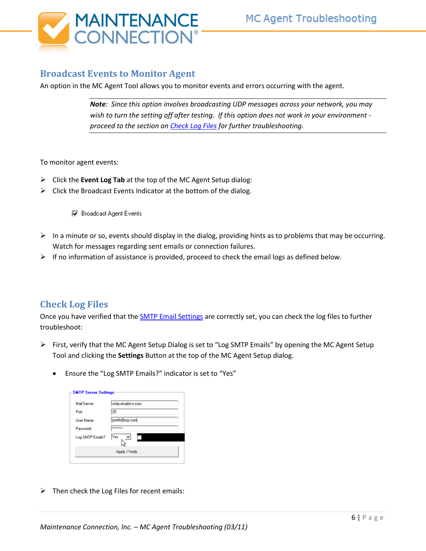

## <span id="page-5-0"></span>**Broadcast Events to Monitor Agent**

An option in the MC Agent Tool allows you to monitor events and errors occurring with the agent.

*Note: Since this option involves broadcasting UDP messages across your network, you may wish to turn the setting off after testing. If this option does not work in your environment proceed to the section o[n Check Log Files](#page-5-1) for further troubleshooting.*

To monitor agent events:

- Click the **Event Log Tab** at the top of the MC Agent Setup dialog:
- $\triangleright$  Click the Broadcast Events Indicator at the bottom of the dialog.

□ Broadcast Agent Events

- $\triangleright$  In a minute or so, events should display in the dialog, providing hints as to problems that may be occurring. Watch for messages regarding sent emails or connection failures.
- $\triangleright$  If no information of assistance is provided, proceed to check the email logs as defined below.

### <span id="page-5-1"></span>**Check Log Files**

Once you have verified that the **SMTP Email Settings are correctly set**, you can check the log files to further troubleshoot:

- $\triangleright$  First, verify that the MC Agent Setup Dialog is set to "Log SMTP Emails" by opening the MC Agent Setup Tool and clicking the **Settings** Button at the top of the MC Agent Setup dialog.
	- Ensure the "Log SMTP Emails?" indicator is set to "Yes"

| Mail Server:     | smtp.emailsrvr.com |
|------------------|--------------------|
| Port             | 25                 |
| User Name:       | jsmith@xzy.com     |
| Password:        | Materialene        |
| Log SMTP Emails? | Yes                |

 $\triangleright$  Then check the Log Files for recent emails: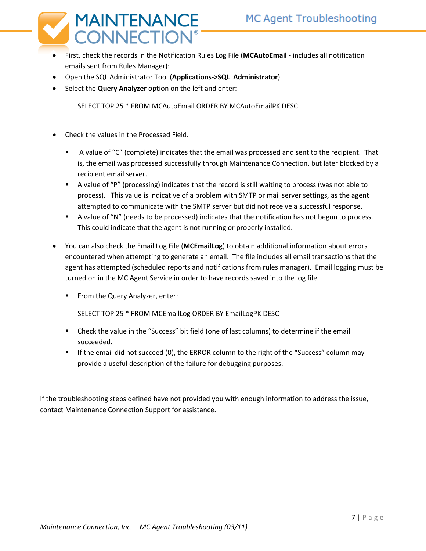

- First, check the records in the Notification Rules Log File (**MCAutoEmail -** includes all notification emails sent from Rules Manager):
- Open the SQL Administrator Tool (**Applications->SQL Administrator**)
- Select the **Query Analyzer** option on the left and enter:

SELECT TOP 25 \* FROM MCAutoEmail ORDER BY MCAutoEmailPK DESC

- Check the values in the Processed Field.
	- A value of "C" (complete) indicates that the email was processed and sent to the recipient. That is, the email was processed successfully through Maintenance Connection, but later blocked by a recipient email server.
	- A value of "P" (processing) indicates that the record is still waiting to process (was not able to process). This value is indicative of a problem with SMTP or mail server settings, as the agent attempted to communicate with the SMTP server but did not receive a successful response.
	- **A** value of "N" (needs to be processed) indicates that the notification has not begun to process. This could indicate that the agent is not running or properly installed.
- You can also check the Email Log File (**MCEmailLog**) to obtain additional information about errors encountered when attempting to generate an email. The file includes all email transactions that the agent has attempted (scheduled reports and notifications from rules manager). Email logging must be turned on in the MC Agent Service in order to have records saved into the log file.
	- From the Query Analyzer, enter:

SELECT TOP 25 \* FROM MCEmailLog ORDER BY EmailLogPK DESC

- Check the value in the "Success" bit field (one of last columns) to determine if the email succeeded.
- If the email did not succeed (0), the ERROR column to the right of the "Success" column may provide a useful description of the failure for debugging purposes.

If the troubleshooting steps defined have not provided you with enough information to address the issue, contact Maintenance Connection Support for assistance.